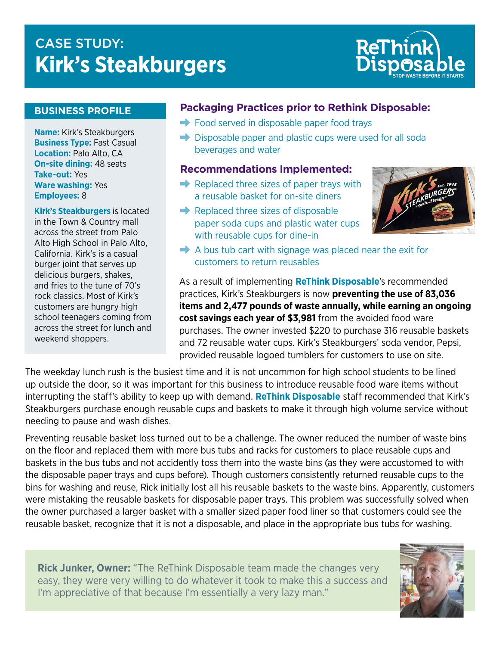# **CASE STUDY: Kirk's Steakburgers**



#### **BUSINESS PROFILE**

**Name:** Kirk's Steakburgers **Business Type:** Fast Casual **Location:** Palo Alto, CA **On-site dining:** 48 seats **Take-out:** Yes **Ware washing:** Yes **Employees:** 8

**Kirk's Steakburgers** is located in the Town & Country mall across the street from Palo Alto High School in Palo Alto, California. Kirk's is a casual burger joint that serves up delicious burgers, shakes, and fries to the tune of 70's rock classics. Most of Kirk's customers are hungry high school teenagers coming from across the street for lunch and weekend shoppers.

### **Packaging Practices prior to Rethink Disposable:**

- $\rightarrow$  Food served in disposable paper food trays
- $\rightarrow$  Disposable paper and plastic cups were used for all soda beverages and water

#### **Recommendations Implemented:**

- $\rightarrow$  Replaced three sizes of paper trays with a reusable basket for on-site diners
- $\rightarrow$  Replaced three sizes of disposable paper soda cups and plastic water cups with reusable cups for dine-in



 $\rightarrow$  A bus tub cart with signage was placed near the exit for customers to return reusables

As a result of implementing **ReThink Disposable**'s recommended practices, Kirk's Steakburgers is now **preventing the use of 83,036 items and 2,477 pounds of waste annually, while earning an ongoing cost savings each year of \$3,981** from the avoided food ware purchases. The owner invested \$220 to purchase 316 reusable baskets and 72 reusable water cups. Kirk's Steakburgers' soda vendor, Pepsi, provided reusable logoed tumblers for customers to use on site.

The weekday lunch rush is the busiest time and it is not uncommon for high school students to be lined up outside the door, so it was important for this business to introduce reusable food ware items without interrupting the staff's ability to keep up with demand. **ReThink Disposable** staff recommended that Kirk's Steakburgers purchase enough reusable cups and baskets to make it through high volume service without needing to pause and wash dishes.

Preventing reusable basket loss turned out to be a challenge. The owner reduced the number of waste bins on the floor and replaced them with more bus tubs and racks for customers to place reusable cups and baskets in the bus tubs and not accidently toss them into the waste bins (as they were accustomed to with the disposable paper trays and cups before). Though customers consistently returned reusable cups to the bins for washing and reuse, Rick initially lost all his reusable baskets to the waste bins. Apparently, customers were mistaking the reusable baskets for disposable paper trays. This problem was successfully solved when the owner purchased a larger basket with a smaller sized paper food liner so that customers could see the reusable basket, recognize that it is not a disposable, and place in the appropriate bus tubs for washing.

Rick Junker, Owner: "The ReThink Disposable team made the changes very easy, they were very willing to do whatever it took to make this a success and I'm appreciative of that because I'm essentially a very lazy man."